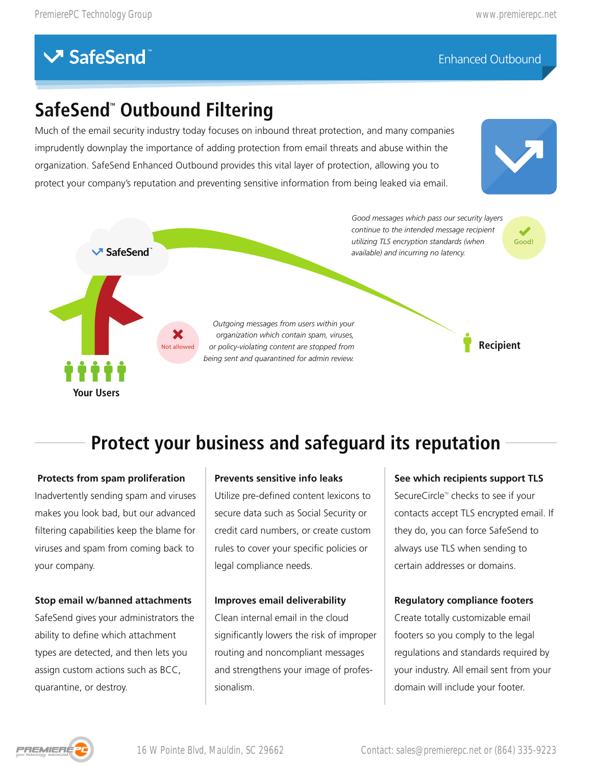### Enhanced Outbound

# **SafeSend<sup>"</sup> Outbound Filtering**

Much of the email security industry today focuses on inbound threat protection, and many companies imprudently downplay the importance of adding protection from email threats and abuse within the organization. SafeSend Enhanced Outbound provides this vital layer of protection, allowing you to protect your company's reputation and preventing sensitive information from being leaked via email.





# **Protect your business and safeguard its reputation**

 **Protects from spam proliferation** Inadvertently sending spam and viruses makes you look bad, but our advanced filtering capabilities keep the blame for viruses and spam from coming back to your company.

#### **Stop email w/banned attachments**

SafeSend gives your administrators the ability to define which attachment types are detected, and then lets you assign custom actions such as BCC, quarantine, or destroy.

#### **Prevents sensitive info leaks**

Utilize pre-defined content lexicons to secure data such as Social Security or credit card numbers, or create custom rules to cover your specific policies or legal compliance needs.

#### **Improves email deliverability**

Clean internal email in the cloud significantly lowers the risk of improper routing and noncompliant messages and strengthens your image of professionalism.

### **See which recipients support TLS**

SecureCircle™ checks to see if your contacts accept TLS encrypted email. If they do, you can force SafeSend to always use TLS when sending to certain addresses or domains.

#### **Regulatory compliance footers**

Create totally customizable email footers so you comply to the legal regulations and standards required by your industry. All email sent from your domain will include your footer.